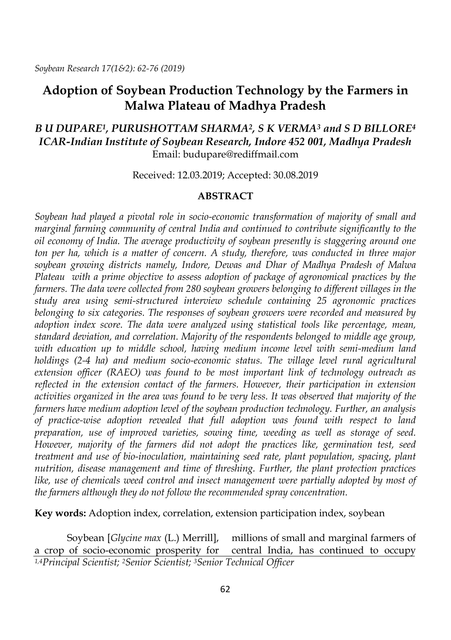# **Adoption of Soybean Production Technology by the Farmers in Malwa Plateau of Madhya Pradesh**

## *B U DUPARE1, PURUSHOTTAM SHARMA2, S K VERMA<sup>3</sup> and S D BILLORE<sup>4</sup> ICAR-Indian Institute of Soybean Research, Indore 452 001, Madhya Pradesh* Email: budupare@rediffmail.com

Received: 12.03.2019; Accepted: 30.08.2019

#### **ABSTRACT**

*Soybean had played a pivotal role in socio-economic transformation of majority of small and marginal farming community of central India and continued to contribute significantly to the oil economy of India. The average productivity of soybean presently is staggering around one ton per ha, which is a matter of concern. A study, therefore, was conducted in three major soybean growing districts namely, Indore, Dewas and Dhar of Madhya Pradesh of Malwa Plateau with a prime objective to assess adoption of package of agronomical practices by the farmers. The data were collected from 280 soybean growers belonging to different villages in the study area using semi-structured interview schedule containing 25 agronomic practices belonging to six categories. The responses of soybean growers were recorded and measured by adoption index score. The data were analyzed using statistical tools like percentage, mean, standard deviation, and correlation. Majority of the respondents belonged to middle age group, with education up to middle school, having medium income level with semi-medium land holdings (2-4 ha) and medium socio-economic status. The village level rural agricultural extension officer (RAEO) was found to be most important link of technology outreach as reflected in the extension contact of the farmers. However, their participation in extension activities organized in the area was found to be very less. It was observed that majority of the farmers have medium adoption level of the soybean production technology. Further, an analysis of practice-wise adoption revealed that full adoption was found with respect to land preparation, use of improved varieties, sowing time, weeding as well as storage of seed. However, majority of the farmers did not adopt the practices like, germination test, seed treatment and use of bio-inoculation, maintaining seed rate, plant population, spacing, plant nutrition, disease management and time of threshing. Further, the plant protection practices*  like, use of chemicals weed control and insect management were partially adopted by most of *the farmers although they do not follow the recommended spray concentration.*

**Key words:** Adoption index, correlation, extension participation index, soybean

Soybean [*Glycine max* (L.) Merrill], a crop of socio-economic prosperity for millions of small and marginal farmers of central India, has continued to occupy *1,4Principal Scientist; 2Senior Scientist; 3Senior Technical Officer*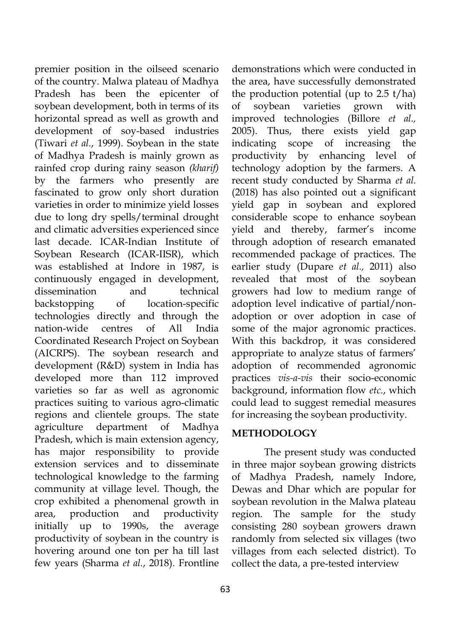premier position in the oilseed scenario of the country. Malwa plateau of Madhya Pradesh has been the epicenter of soybean development, both in terms of its horizontal spread as well as growth and development of soy-based industries (Tiwari *et al.*, 1999). Soybean in the state of Madhya Pradesh is mainly grown as rainfed crop during rainy season *(kharif)* by the farmers who presently are fascinated to grow only short duration varieties in order to minimize yield losses due to long dry spells/terminal drought and climatic adversities experienced since last decade. ICAR-Indian Institute of Soybean Research (ICAR-IISR), which was established at Indore in 1987, is continuously engaged in development, dissemination and technical backstopping of location-specific technologies directly and through the nation-wide centres of All India Coordinated Research Project on Soybean (AICRPS). The soybean research and development (R&D) system in India has developed more than 112 improved varieties so far as well as agronomic practices suiting to various agro-climatic regions and clientele groups. The state agriculture department of Madhya Pradesh, which is main extension agency, has major responsibility to provide extension services and to disseminate technological knowledge to the farming community at village level. Though, the crop exhibited a phenomenal growth in area, production and productivity initially up to 1990s, the average productivity of soybean in the country is hovering around one ton per ha till last few years (Sharma *et al.*, 2018). Frontline

63

demonstrations which were conducted in the area, have successfully demonstrated the production potential (up to 2.5 t/ha) of soybean varieties grown with improved technologies (Billore *et al.,*  2005). Thus, there exists yield gap indicating scope of increasing the productivity by enhancing level of technology adoption by the farmers. A recent study conducted by Sharma *et al.* (2018) has also pointed out a significant yield gap in soybean and explored considerable scope to enhance soybean yield and thereby, farmer's income through adoption of research emanated recommended package of practices. The earlier study (Dupare *et al.,* 2011) also revealed that most of the soybean growers had low to medium range of adoption level indicative of partial/nonadoption or over adoption in case of some of the major agronomic practices. With this backdrop, it was considered appropriate to analyze status of farmers' adoption of recommended agronomic practices *vis-a-vis* their socio-economic background, information flow *etc*., which could lead to suggest remedial measures for increasing the soybean productivity.

#### **METHODOLOGY**

The present study was conducted in three major soybean growing districts of Madhya Pradesh, namely Indore, Dewas and Dhar which are popular for soybean revolution in the Malwa plateau region. The sample for the study consisting 280 soybean growers drawn randomly from selected six villages (two villages from each selected district). To collect the data, a pre-tested interview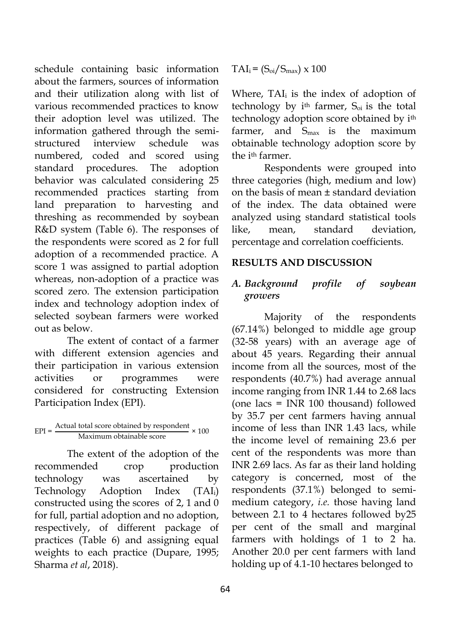schedule containing basic information about the farmers, sources of information and their utilization along with list of various recommended practices to know their adoption level was utilized. The information gathered through the semistructured interview schedule was numbered, coded and scored using standard procedures. The adoption behavior was calculated considering 25 recommended practices starting from land preparation to harvesting and threshing as recommended by soybean R&D system (Table 6). The responses of the respondents were scored as 2 for full adoption of a recommended practice. A score 1 was assigned to partial adoption whereas, non-adoption of a practice was scored zero. The extension participation index and technology adoption index of selected soybean farmers were worked out as below.

The extent of contact of a farmer with different extension agencies and their participation in various extension activities or programmes were considered for constructing Extension Participation Index (EPI).

# $EPI = \frac{Actual \cdot total \cdot score}{Maximum \cdot obtained \cdot b \cdot score} \times 100$

The extent of the adoption of the recommended crop production technology was ascertained by Technology Adoption Index (TAI<sub>i</sub>) constructed using the scores of 2, 1 and 0 for full, partial adoption and no adoption, respectively, of different package of practices (Table 6) and assigning equal weights to each practice (Dupare, 1995; Sharma *et al*, 2018).

 $TAI_i = (S_{oi}/S_{max}) \times 100$ 

Where,  $TAI_i$  is the index of adoption of technology by  $i$ <sup>th</sup> farmer,  $S_{oi}$  is the total technology adoption score obtained by ith farmer, and  $S_{\text{max}}$  is the maximum obtainable technology adoption score by the i<sup>th</sup> farmer.

Respondents were grouped into three categories (high, medium and low) on the basis of mean ± standard deviation of the index. The data obtained were analyzed using standard statistical tools like, mean, standard deviation, percentage and correlation coefficients.

# **RESULTS AND DISCUSSION**

# *A. Background profile of soybean growers*

Majority of the respondents (67.14%) belonged to middle age group (32-58 years) with an average age of about 45 years. Regarding their annual income from all the sources, most of the respondents (40.7%) had average annual income ranging from INR 1.44 to 2.68 lacs (one lacs = INR 100 thousand) followed by 35.7 per cent farmers having annual income of less than INR 1.43 lacs, while the income level of remaining 23.6 per cent of the respondents was more than INR 2.69 lacs. As far as their land holding category is concerned, most of the respondents (37.1%) belonged to semimedium category, *i.e.* those having land between 2.1 to 4 hectares followed by25 per cent of the small and marginal farmers with holdings of 1 to 2 ha. Another 20.0 per cent farmers with land holding up of 4.1-10 hectares belonged to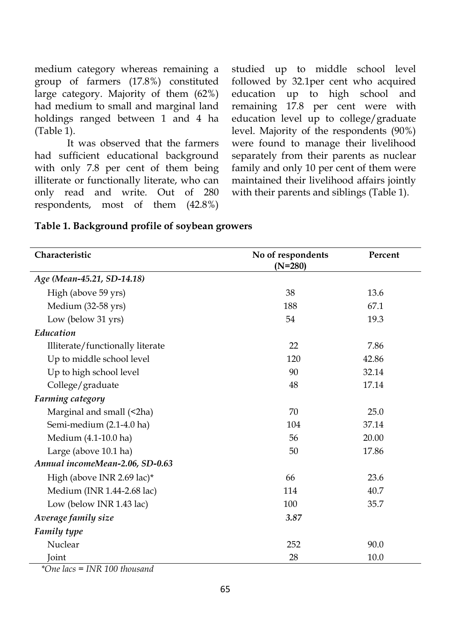medium category whereas remaining a group of farmers (17.8%) constituted large category. Majority of them (62%) had medium to small and marginal land holdings ranged between 1 and 4 ha (Table 1).

It was observed that the farmers had sufficient educational background with only 7.8 per cent of them being illiterate or functionally literate, who can only read and write. Out of 280 respondents, most of them (42.8%)

studied up to middle school level followed by 32.1per cent who acquired education up to high school and remaining 17.8 per cent were with education level up to college/graduate level. Majority of the respondents (90%) were found to manage their livelihood separately from their parents as nuclear family and only 10 per cent of them were maintained their livelihood affairs jointly with their parents and siblings (Table 1).

|  |  | Table 1. Background profile of soybean growers |
|--|--|------------------------------------------------|
|--|--|------------------------------------------------|

| Characteristic                          | No of respondents<br>$(N=280)$ | Percent |
|-----------------------------------------|--------------------------------|---------|
| Age (Mean-45.21, SD-14.18)              |                                |         |
| High (above 59 yrs)                     | 38                             | 13.6    |
| Medium (32-58 yrs)                      | 188                            | 67.1    |
| Low (below 31 yrs)                      | 54                             | 19.3    |
| Education                               |                                |         |
| Illiterate/functionally literate        | 22                             | 7.86    |
| Up to middle school level               | 120                            | 42.86   |
| Up to high school level                 | 90                             | 32.14   |
| College/graduate                        | 48                             | 17.14   |
| Farming category                        |                                |         |
| Marginal and small (<2ha)               | 70                             | 25.0    |
| Semi-medium (2.1-4.0 ha)                | 104                            | 37.14   |
| Medium (4.1-10.0 ha)                    | 56                             | 20.00   |
| Large (above 10.1 ha)                   | 50                             | 17.86   |
| Annual incomeMean-2.06, SD-0.63         |                                |         |
| High (above INR 2.69 lac)*              | 66                             | 23.6    |
| Medium (INR 1.44-2.68 lac)              | 114                            | 40.7    |
| Low (below INR 1.43 lac)<br>100<br>35.7 |                                |         |
| Average family size                     | 3.87                           |         |
| <b>Family type</b>                      |                                |         |
| Nuclear                                 | 252                            | 90.0    |
| Joint                                   | 28                             | 10.0    |

*\*One lacs = INR 100 thousand*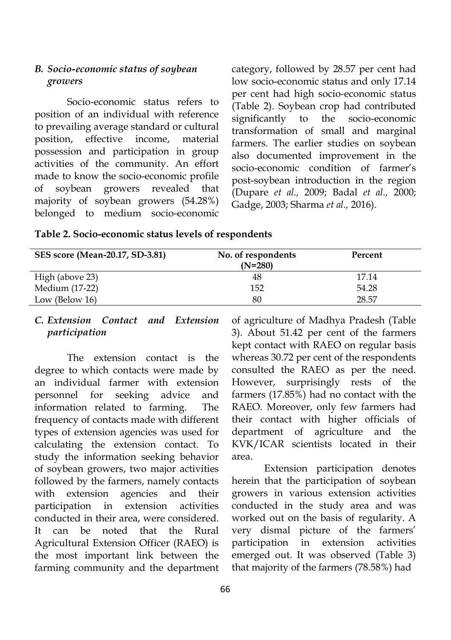#### *B. Socio-economic status of soybean growers*

Socio-economic status refers to position of an individual with reference to prevailing average standard or cultural position, effective income, material possession and participation in group activities of the community. An effort made to know the socio-economic profile of soybean growers revealed that majority of soybean growers (54.28%) belonged to medium socio-economic

category, followed by 28.57 per cent had low socio-economic status and only 17.14 per cent had high socio-economic status (Table 2). Soybean crop had contributed significantly to the socio-economic transformation of small and marginal farmers. The earlier studies on soybean also documented improvement in the socio-economic condition of farmer's post-soybean introduction in the region (Dupare *et al.,* 2009; Badal *et al.,* 2000; Gadge, 2003; Sharma *et al.,* 2016).

| SES score (Mean-20.17, SD-3.81) | No. of respondents<br>$(N=280)$ | Percent |
|---------------------------------|---------------------------------|---------|
| High (above 23)                 | 48                              | 17.14   |
| Medium (17-22)                  | 152                             | 54.28   |
| Low (Below 16)                  | 80                              | 28.57   |

#### **Table 2. Socio-economic status levels of respondents**

#### *C. Extension Contact and Extension participation*

The extension contact is the degree to which contacts were made by an individual farmer with extension personnel for seeking advice and information related to farming. The frequency of contacts made with different types of extension agencies was used for calculating the extension contact. To study the information seeking behavior of soybean growers, two major activities followed by the farmers, namely contacts with extension agencies and their participation in extension activities conducted in their area, were considered. It can be noted that the Rural Agricultural Extension Officer (RAEO) is the most important link between the farming community and the department

of agriculture of Madhya Pradesh (Table 3). About 51.42 per cent of the farmers kept contact with RAEO on regular basis whereas 30.72 per cent of the respondents consulted the RAEO as per the need. However, surprisingly rests of the farmers (17.85%) had no contact with the RAEO. Moreover, only few farmers had their contact with higher officials of department of agriculture and the KVK/ICAR scientists located in their area.

Extension participation denotes herein that the participation of soybean growers in various extension activities conducted in the study area and was worked out on the basis of regularity. A very dismal picture of the farmers' participation in extension activities emerged out. It was observed (Table 3) that majority of the farmers (78.58%) had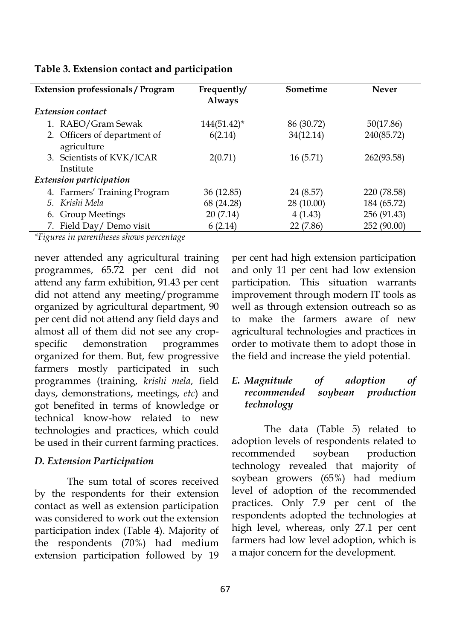| <b>Extension professionals / Program</b>    | Frequently/<br><b>Always</b> | Sometime   | <b>Never</b> |
|---------------------------------------------|------------------------------|------------|--------------|
| <b>Extension contact</b>                    |                              |            |              |
| 1. RAEO/Gram Sewak                          | $144(51.42)^*$               | 86 (30.72) | 50(17.86)    |
| 2. Officers of department of<br>agriculture | 6(2.14)                      | 34(12.14)  | 240(85.72)   |
| 3. Scientists of KVK/ICAR<br>Institute      | 2(0.71)                      | 16(5.71)   | 262(93.58)   |
| <b>Extension participation</b>              |                              |            |              |
| 4. Farmers' Training Program                | 36 (12.85)                   | 24 (8.57)  | 220 (78.58)  |
| 5. Krishi Mela                              | 68 (24.28)                   | 28(10.00)  | 184 (65.72)  |
| 6. Group Meetings                           | 20(7.14)                     | 4(1.43)    | 256 (91.43)  |
| 7. Field Day/ Demo visit                    | 6(2.14)                      | 22 (7.86)  | 252 (90.00)  |

#### **Table 3. Extension contact and participation**

*\*Figures in parentheses shows percentage*

never attended any agricultural training programmes, 65.72 per cent did not attend any farm exhibition, 91.43 per cent did not attend any meeting/programme organized by agricultural department, 90 per cent did not attend any field days and almost all of them did not see any cropspecific demonstration programmes organized for them. But, few progressive farmers mostly participated in such programmes (training, *krishi mela*, field days, demonstrations, meetings, *etc*) and got benefited in terms of knowledge or technical know-how related to new technologies and practices, which could be used in their current farming practices.

#### *D. Extension Participation*

The sum total of scores received by the respondents for their extension contact as well as extension participation was considered to work out the extension participation index (Table 4). Majority of the respondents (70%) had medium extension participation followed by 19

per cent had high extension participation and only 11 per cent had low extension participation. This situation warrants improvement through modern IT tools as well as through extension outreach so as to make the farmers aware of new agricultural technologies and practices in order to motivate them to adopt those in the field and increase the yield potential.

#### *E. Magnitude of adoption of recommended soybean production technology*

The data (Table 5) related to adoption levels of respondents related to recommended soybean production technology revealed that majority of soybean growers (65%) had medium level of adoption of the recommended practices. Only 7.9 per cent of the respondents adopted the technologies at high level, whereas, only 27.1 per cent farmers had low level adoption, which is a major concern for the development.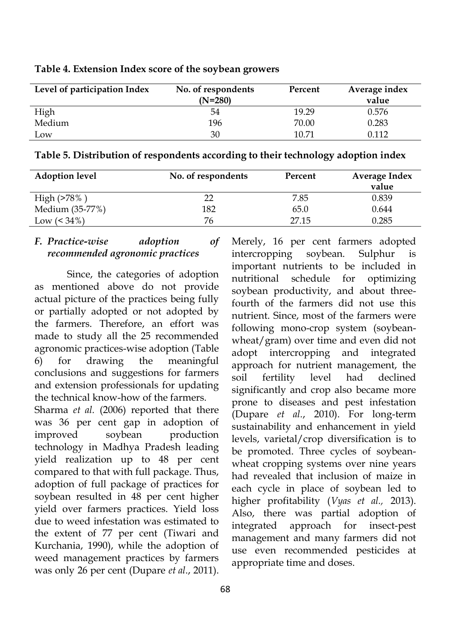| Level of participation Index | No. of respondents | Percent | Average index |
|------------------------------|--------------------|---------|---------------|
|                              | $(N=280)$          |         | value         |
| High                         | 54                 | 19.29   | 0.576         |
| Medium                       | 196                | 70.00   | 0.283         |
| Low                          | 30                 | 10.71   | 0 1 1 2       |

**Table 4. Extension Index score of the soybean growers**

| Table 5. Distribution of respondents according to their technology adoption index |  |  |  |
|-----------------------------------------------------------------------------------|--|--|--|
|                                                                                   |  |  |  |

| <b>Adoption level</b> | No. of respondents | Percent | <b>Average Index</b> |
|-----------------------|--------------------|---------|----------------------|
|                       |                    |         | value                |
| High $(>78\%)$        | 22                 | 7.85    | 0.839                |
| Medium (35-77%)       | 182                | 65.0    | 0.644                |
| Low $(< 34\%)$        | 76                 | 27.15   | 0.285                |

#### *F. Practice-wise adoption of recommended agronomic practices*

Since, the categories of adoption as mentioned above do not provide actual picture of the practices being fully or partially adopted or not adopted by the farmers. Therefore, an effort was made to study all the 25 recommended agronomic practices-wise adoption (Table 6) for drawing the meaningful conclusions and suggestions for farmers and extension professionals for updating the technical know-how of the farmers.

Sharma *et al.* (2006) reported that there was 36 per cent gap in adoption of improved soybean production technology in Madhya Pradesh leading yield realization up to 48 per cent compared to that with full package. Thus, adoption of full package of practices for soybean resulted in 48 per cent higher yield over farmers practices. Yield loss due to weed infestation was estimated to the extent of 77 per cent (Tiwari and Kurchania, 1990), while the adoption of weed management practices by farmers was only 26 per cent (Dupare *et al*., 2011).

Merely, 16 per cent farmers adopted intercropping soybean. Sulphur is important nutrients to be included in nutritional schedule for optimizing soybean productivity, and about threefourth of the farmers did not use this nutrient. Since, most of the farmers were following mono-crop system (soybeanwheat/gram) over time and even did not adopt intercropping and integrated approach for nutrient management, the soil fertility level had declined significantly and crop also became more prone to diseases and pest infestation (Dupare *et al.*, 2010). For long-term sustainability and enhancement in yield levels, varietal/crop diversification is to be promoted. Three cycles of soybeanwheat cropping systems over nine years had revealed that inclusion of maize in each cycle in place of soybean led to higher profitability (*Vyas et al.,* 2013). Also, there was partial adoption of integrated approach for insect-pest management and many farmers did not use even recommended pesticides at appropriate time and doses.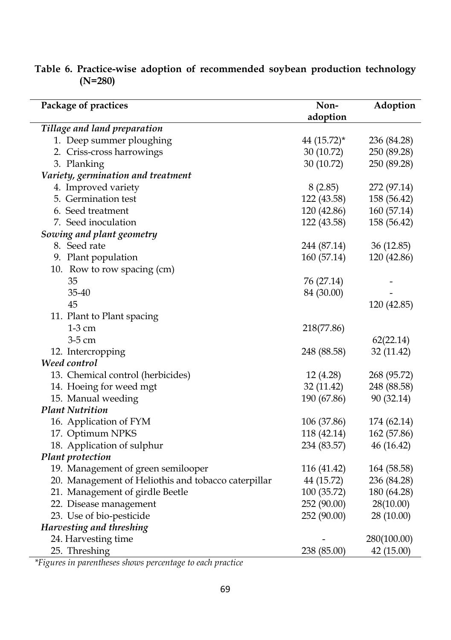| Package of practices                                | Non-        | Adoption    |
|-----------------------------------------------------|-------------|-------------|
|                                                     | adoption    |             |
| Tillage and land preparation                        |             |             |
| 1. Deep summer ploughing                            | 44 (15.72)* | 236 (84.28) |
| 2. Criss-cross harrowings                           | 30 (10.72)  | 250 (89.28) |
| 3. Planking                                         | 30 (10.72)  | 250 (89.28) |
| Variety, germination and treatment                  |             |             |
| 4. Improved variety                                 | 8(2.85)     | 272 (97.14) |
| 5. Germination test                                 | 122 (43.58) | 158 (56.42) |
| 6. Seed treatment                                   | 120 (42.86) | 160 (57.14) |
| 7. Seed inoculation                                 | 122 (43.58) | 158 (56.42) |
| Sowing and plant geometry                           |             |             |
| 8. Seed rate                                        | 244 (87.14) | 36 (12.85)  |
| 9. Plant population                                 | 160 (57.14) | 120 (42.86) |
| 10. Row to row spacing (cm)                         |             |             |
| 35                                                  | 76 (27.14)  |             |
| 35-40                                               | 84 (30.00)  |             |
| 45                                                  |             | 120 (42.85) |
| 11. Plant to Plant spacing                          |             |             |
| $1-3$ cm                                            | 218(77.86)  |             |
| 3-5 cm                                              |             | 62(22.14)   |
| 12. Intercropping                                   | 248 (88.58) | 32 (11.42)  |
| Weed control                                        |             |             |
| 13. Chemical control (herbicides)                   | 12 (4.28)   | 268 (95.72) |
| 14. Hoeing for weed mgt                             | 32 (11.42)  | 248 (88.58) |
| 15. Manual weeding                                  | 190 (67.86) | 90 (32.14)  |
| <b>Plant Nutrition</b>                              |             |             |
| 16. Application of FYM                              | 106 (37.86) | 174 (62.14) |
| 17. Optimum NPKS                                    | 118 (42.14) | 162 (57.86) |
| 18. Application of sulphur                          | 234 (83.57) | 46 (16.42)  |
| Plant protection                                    |             |             |
| 19. Management of green semilooper                  | 116 (41.42) | 164 (58.58) |
| 20. Management of Heliothis and tobacco caterpillar | 44 (15.72)  | 236 (84.28) |
| 21. Management of girdle Beetle                     | 100 (35.72) | 180 (64.28) |
| 22. Disease management                              | 252 (90.00) | 28(10.00)   |
| 23. Use of bio-pesticide                            | 252 (90.00) | 28 (10.00)  |
| Harvesting and threshing                            |             |             |
| 24. Harvesting time                                 |             | 280(100.00) |
| 25. Threshing                                       | 238 (85.00) | 42 (15.00)  |

**Table 6. Practice-wise adoption of recommended soybean production technology (N=280)**

*\*Figures in parentheses shows percentage to each practice*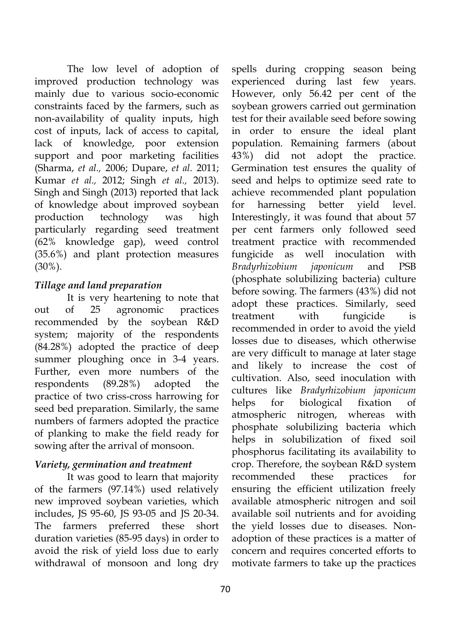The low level of adoption of improved production technology was mainly due to various socio-economic constraints faced by the farmers, such as non-availability of quality inputs, high cost of inputs, lack of access to capital, lack of knowledge, poor extension support and poor marketing facilities (Sharma, *et al.,* 2006; Dupare, *et al.* 2011; Kumar *et al.,* 2012; Singh *et al.,* 2013). Singh and Singh (2013) reported that lack of knowledge about improved soybean production technology was high particularly regarding seed treatment (62% knowledge gap), weed control (35.6%) and plant protection measures (30%).

## *Tillage and land preparation*

It is very heartening to note that out of 25 agronomic practices recommended by the soybean R&D system; majority of the respondents (84.28%) adopted the practice of deep summer ploughing once in 3-4 years. Further, even more numbers of the respondents (89.28%) adopted the practice of two criss-cross harrowing for seed bed preparation. Similarly, the same numbers of farmers adopted the practice of planking to make the field ready for sowing after the arrival of monsoon.

## *Variety, germination and treatment*

It was good to learn that majority of the farmers (97.14%) used relatively new improved soybean varieties, which includes, JS 95-60, JS 93-05 and JS 20-34. The farmers preferred these short duration varieties (85-95 days) in order to avoid the risk of yield loss due to early withdrawal of monsoon and long dry

spells during cropping season being experienced during last few years. However, only 56.42 per cent of the soybean growers carried out germination test for their available seed before sowing in order to ensure the ideal plant population. Remaining farmers (about 43%) did not adopt the practice. Germination test ensures the quality of seed and helps to optimize seed rate to achieve recommended plant population for harnessing better yield level. Interestingly, it was found that about 57 per cent farmers only followed seed treatment practice with recommended fungicide as well inoculation with *Bradyrhizobium japonicum* and PSB (phosphate solubilizing bacteria) culture before sowing. The farmers (43%) did not adopt these practices. Similarly, seed treatment with fungicide is recommended in order to avoid the yield losses due to diseases, which otherwise are very difficult to manage at later stage and likely to increase the cost of cultivation. Also, seed inoculation with cultures like *Bradyrhizobium japonicum*  helps for biological fixation of atmospheric nitrogen, whereas with phosphate solubilizing bacteria which helps in solubilization of fixed soil phosphorus facilitating its availability to crop. Therefore, the soybean R&D system recommended these practices for ensuring the efficient utilization freely available atmospheric nitrogen and soil available soil nutrients and for avoiding the yield losses due to diseases. Nonadoption of these practices is a matter of concern and requires concerted efforts to motivate farmers to take up the practices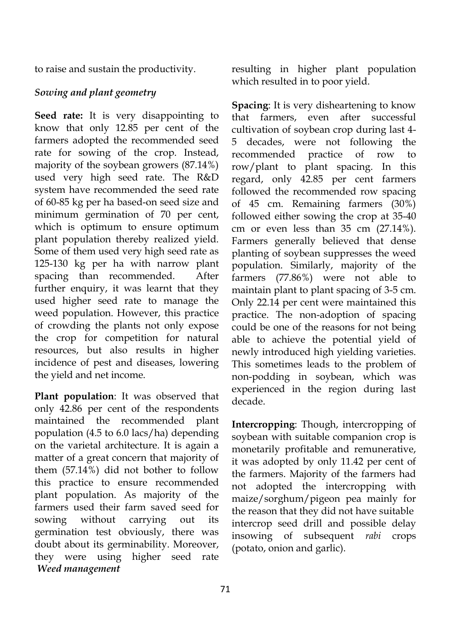to raise and sustain the productivity.

#### *Sowing and plant geometry*

**Seed rate:** It is very disappointing to know that only 12.85 per cent of the farmers adopted the recommended seed rate for sowing of the crop. Instead, majority of the soybean growers (87.14%) used very high seed rate. The R&D system have recommended the seed rate of 60-85 kg per ha based-on seed size and minimum germination of 70 per cent, which is optimum to ensure optimum plant population thereby realized yield. Some of them used very high seed rate as 125-130 kg per ha with narrow plant spacing than recommended. After further enquiry, it was learnt that they used higher seed rate to manage the weed population. However, this practice of crowding the plants not only expose the crop for competition for natural resources, but also results in higher incidence of pest and diseases, lowering the yield and net income.

**Plant population**: It was observed that only 42.86 per cent of the respondents maintained the recommended plant population (4.5 to 6.0 lacs/ha) depending on the varietal architecture. It is again a matter of a great concern that majority of them (57.14%) did not bother to follow this practice to ensure recommended plant population. As majority of the farmers used their farm saved seed for sowing without carrying out its germination test obviously, there was doubt about its germinability. Moreover, they were using higher seed rate *Weed management* 

resulting in higher plant population which resulted in to poor yield.

**Spacing**: It is very disheartening to know that farmers, even after successful cultivation of soybean crop during last 4- 5 decades, were not following the recommended practice of row to row/plant to plant spacing. In this regard, only 42.85 per cent farmers followed the recommended row spacing of 45 cm. Remaining farmers (30%) followed either sowing the crop at 35-40 cm or even less than 35 cm (27.14%). Farmers generally believed that dense planting of soybean suppresses the weed population. Similarly, majority of the farmers (77.86%) were not able to maintain plant to plant spacing of 3-5 cm. Only 22.14 per cent were maintained this practice. The non-adoption of spacing could be one of the reasons for not being able to achieve the potential yield of newly introduced high yielding varieties. This sometimes leads to the problem of non-podding in soybean, which was experienced in the region during last decade.

**Intercropping**: Though, intercropping of soybean with suitable companion crop is monetarily profitable and remunerative, it was adopted by only 11.42 per cent of the farmers. Majority of the farmers had not adopted the intercropping with maize/sorghum/pigeon pea mainly for the reason that they did not have suitable intercrop seed drill and possible delay insowing of subsequent *rabi* crops (potato, onion and garlic).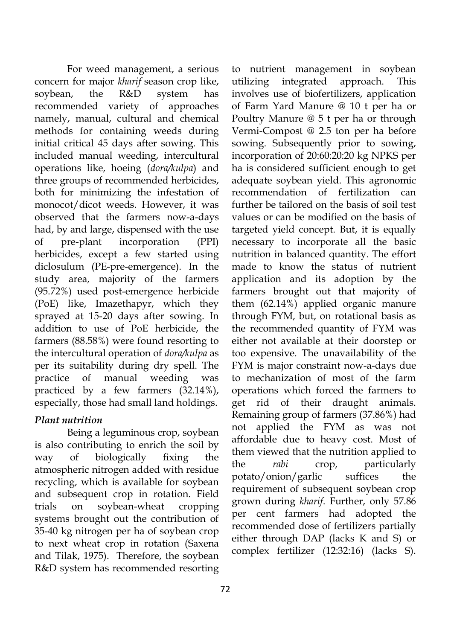For weed management, a serious concern for major *kharif* season crop like, soybean, the R&D system has recommended variety of approaches namely, manual, cultural and chemical methods for containing weeds during initial critical 45 days after sowing. This included manual weeding, intercultural operations like, hoeing (*dora/kulpa*) and three groups of recommended herbicides, both for minimizing the infestation of monocot/dicot weeds. However, it was observed that the farmers now-a-days had, by and large, dispensed with the use of pre-plant incorporation (PPI) herbicides, except a few started using diclosulum (PE-pre-emergence). In the study area, majority of the farmers (95.72%) used post-emergence herbicide (PoE) like, Imazethapyr, which they sprayed at 15-20 days after sowing. In addition to use of PoE herbicide, the farmers (88.58%) were found resorting to the intercultural operation of *dora/kulpa* as per its suitability during dry spell. The practice of manual weeding was practiced by a few farmers (32.14%), especially, those had small land holdings.

# *Plant nutrition*

Being a leguminous crop, soybean is also contributing to enrich the soil by way of biologically fixing the atmospheric nitrogen added with residue recycling, which is available for soybean and subsequent crop in rotation. Field trials on soybean-wheat cropping systems brought out the contribution of 35-40 kg nitrogen per ha of soybean crop to next wheat crop in rotation (Saxena and Tilak, 1975). Therefore, the soybean R&D system has recommended resorting

utilizing integrated approach. This involves use of biofertilizers, application of Farm Yard Manure @ 10 t per ha or Poultry Manure @ 5 t per ha or through Vermi-Compost @ 2.5 ton per ha before sowing. Subsequently prior to sowing, incorporation of 20:60:20:20 kg NPKS per ha is considered sufficient enough to get adequate soybean yield. This agronomic recommendation of fertilization can further be tailored on the basis of soil test values or can be modified on the basis of targeted yield concept. But, it is equally necessary to incorporate all the basic nutrition in balanced quantity. The effort made to know the status of nutrient application and its adoption by the farmers brought out that majority of them (62.14%) applied organic manure through FYM, but, on rotational basis as the recommended quantity of FYM was either not available at their doorstep or too expensive. The unavailability of the FYM is major constraint now-a-days due to mechanization of most of the farm operations which forced the farmers to get rid of their draught animals. Remaining group of farmers (37.86%) had not applied the FYM as was not affordable due to heavy cost. Most of them viewed that the nutrition applied to the *rabi* crop, particularly potato/onion/garlic suffices the requirement of subsequent soybean crop grown during *kharif*. Further, only 57.86 per cent farmers had adopted the recommended dose of fertilizers partially either through DAP (lacks K and S) or complex fertilizer (12:32:16) (lacks S).

to nutrient management in soybean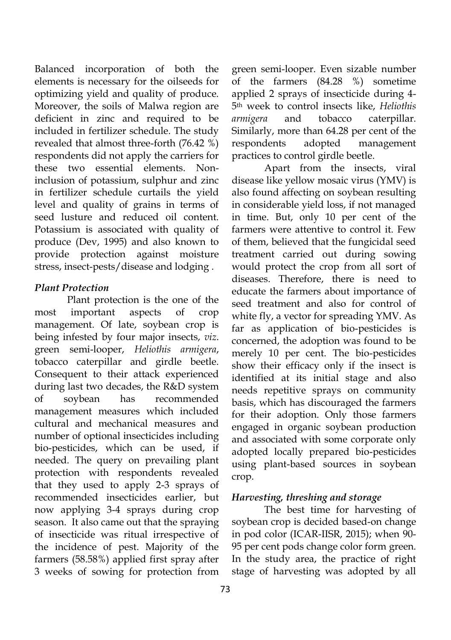Balanced incorporation of both the elements is necessary for the oilseeds for optimizing yield and quality of produce. Moreover, the soils of Malwa region are deficient in zinc and required to be included in fertilizer schedule. The study revealed that almost three-forth (76.42 %) respondents did not apply the carriers for these two essential elements. Noninclusion of potassium, sulphur and zinc in fertilizer schedule curtails the yield level and quality of grains in terms of seed lusture and reduced oil content. Potassium is associated with quality of produce (Dev, 1995) and also known to provide protection against moisture stress, insect-pests/disease and lodging .

## *Plant Protection*

Plant protection is the one of the most important aspects of crop management. Of late, soybean crop is being infested by four major insects, *viz*. green semi-looper, *Heliothis armigera*, tobacco caterpillar and girdle beetle. Consequent to their attack experienced during last two decades, the R&D system of soybean has recommended management measures which included cultural and mechanical measures and number of optional insecticides including bio-pesticides, which can be used, if needed. The query on prevailing plant protection with respondents revealed that they used to apply 2-3 sprays of recommended insecticides earlier, but now applying 3-4 sprays during crop season. It also came out that the spraying of insecticide was ritual irrespective of the incidence of pest. Majority of the farmers (58.58%) applied first spray after 3 weeks of sowing for protection from

green semi-looper. Even sizable number of the farmers (84.28 %) sometime applied 2 sprays of insecticide during 4- 5th week to control insects like, *Heliothis armigera* and tobacco caterpillar. Similarly, more than 64.28 per cent of the respondents adopted management practices to control girdle beetle.

Apart from the insects, viral disease like yellow mosaic virus (YMV) is also found affecting on soybean resulting in considerable yield loss, if not managed in time. But, only 10 per cent of the farmers were attentive to control it. Few of them, believed that the fungicidal seed treatment carried out during sowing would protect the crop from all sort of diseases. Therefore, there is need to educate the farmers about importance of seed treatment and also for control of white fly, a vector for spreading YMV. As far as application of bio-pesticides is concerned, the adoption was found to be merely 10 per cent. The bio-pesticides show their efficacy only if the insect is identified at its initial stage and also needs repetitive sprays on community basis, which has discouraged the farmers for their adoption. Only those farmers engaged in organic soybean production and associated with some corporate only adopted locally prepared bio-pesticides using plant-based sources in soybean crop.

## *Harvesting, threshing and storage*

The best time for harvesting of soybean crop is decided based-on change in pod color (ICAR-IISR, 2015); when 90- 95 per cent pods change color form green. In the study area, the practice of right stage of harvesting was adopted by all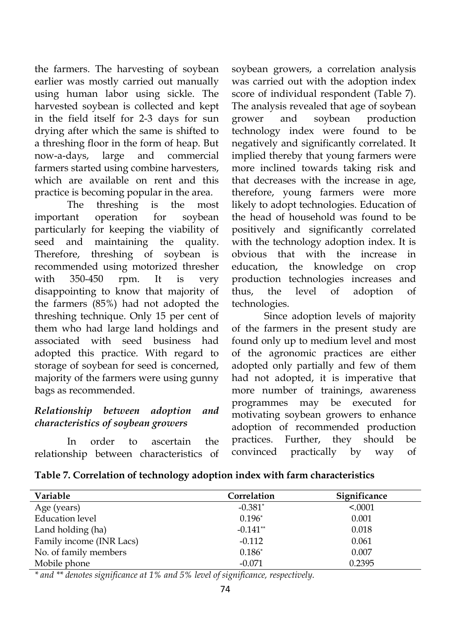the farmers. The harvesting of soybean earlier was mostly carried out manually using human labor using sickle. The harvested soybean is collected and kept in the field itself for 2-3 days for sun drying after which the same is shifted to a threshing floor in the form of heap. But now-a-days, large and commercial farmers started using combine harvesters, which are available on rent and this practice is becoming popular in the area.

The threshing is the most important operation for soybean particularly for keeping the viability of seed and maintaining the quality. Therefore, threshing of soybean is recommended using motorized thresher with 350-450 rpm. It is very disappointing to know that majority of the farmers (85%) had not adopted the threshing technique. Only 15 per cent of them who had large land holdings and associated with seed business had adopted this practice. With regard to storage of soybean for seed is concerned, majority of the farmers were using gunny bags as recommended.

#### *Relationship between adoption and characteristics of soybean growers*

In order to ascertain the relationship between characteristics of soybean growers, a correlation analysis was carried out with the adoption index score of individual respondent (Table 7). The analysis revealed that age of soybean grower and soybean production technology index were found to be negatively and significantly correlated. It implied thereby that young farmers were more inclined towards taking risk and that decreases with the increase in age, therefore, young farmers were more likely to adopt technologies. Education of the head of household was found to be positively and significantly correlated with the technology adoption index. It is obvious that with the increase in education, the knowledge on crop production technologies increases and thus, the level of adoption of technologies.

Since adoption levels of majority of the farmers in the present study are found only up to medium level and most of the agronomic practices are either adopted only partially and few of them had not adopted, it is imperative that more number of trainings, awareness programmes may be executed for motivating soybean growers to enhance adoption of recommended production practices. Further, they should be convinced practically by way of

|  |  |  | Table 7. Correlation of technology adoption index with farm characteristics |
|--|--|--|-----------------------------------------------------------------------------|
|  |  |  |                                                                             |

| Variable                 | Correlation | Significance |
|--------------------------|-------------|--------------|
| Age (years)              | $-0.381*$   | < 0.0001     |
| <b>Education</b> level   | $0.196*$    | 0.001        |
| Land holding (ha)        | $-0.141**$  | 0.018        |
| Family income (INR Lacs) | $-0.112$    | 0.061        |
| No. of family members    | $0.186*$    | 0.007        |
| Mobile phone             | $-0.071$    | 0.2395       |

*\* and \*\* denotes significance at 1% and 5% level of significance, respectively.*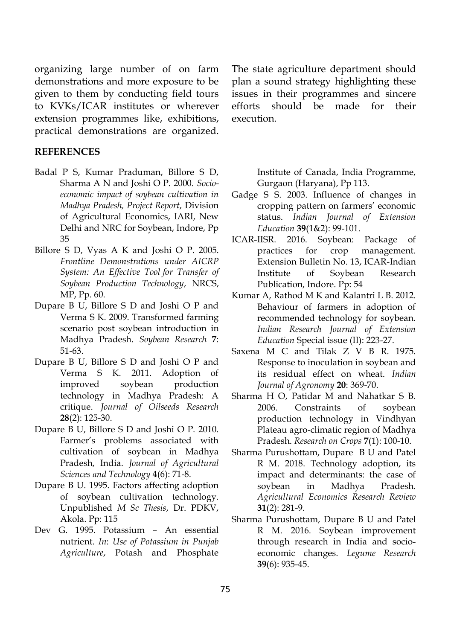organizing large number of on farm demonstrations and more exposure to be given to them by conducting field tours to KVKs/ICAR institutes or wherever extension programmes like, exhibitions, practical demonstrations are organized.

#### **REFERENCES**

Î

- Badal P S, Kumar Praduman, Billore S D, Sharma A N and Joshi O P. 2000. *Socioeconomic impact of soybean cultivation in Madhya Pradesh, Project Report*, Division of Agricultural Economics, IARI, New Delhi and NRC for Soybean, Indore, Pp 35
- Billore S D, Vyas A K and Joshi O P. 2005. *Frontline Demonstrations under AICRP System: An Effective Tool for Transfer of Soybean Production Technology*, NRCS, MP, Pp. 60.
- Dupare B U, Billore S D and Joshi O P and Verma S K. 2009. Transformed farming scenario post soybean introduction in Madhya Pradesh. *Soybean Research* **7**: 51-63.
- Dupare B U, Billore S D and Joshi O P and Verma S K. 2011. Adoption of improved soybean production technology in Madhya Pradesh: A critique. *Journal of Oilseeds Research*  **28**(2): 125-30.
- Dupare B U, Billore S D and Joshi O P. 2010. Farmer's problems associated with cultivation of soybean in Madhya Pradesh, India. *Journal of Agricultural Sciences and Technology* **4**(6): 71-8.
- Dupare B U. 1995. Factors affecting adoption of soybean cultivation technology. Unpublished *M Sc Thesis*, Dr. PDKV, Akola. Pp: 115
- Dev G. 1995. Potassium An essential nutrient. *In*: *Use of Potassium in Punjab Agriculture*, Potash and Phosphate

The state agriculture department should plan a sound strategy highlighting these issues in their programmes and sincere efforts should be made for their execution.

> Institute of Canada, India Programme, Gurgaon (Haryana), Pp 113.

- Gadge S S. 2003. Influence of changes in cropping pattern on farmers' economic status. *Indian Journal of Extension Education* **39**(1&2): 99-101.
- ICAR-IISR. 2016. Soybean: Package of practices for crop management. Extension Bulletin No. 13, ICAR-Indian Institute of Soybean Research Publication, Indore. Pp: 54
- Kumar A, Rathod M K and Kalantri L B. 2012. Behaviour of farmers in adoption of recommended technology for soybean. *Indian Research Journal of Extension Education* Special issue (II): 223-27.
- Saxena M C and Tilak Z V B R. 1975. Response to inoculation in soybean and its residual effect on wheat. *Indian Journal of Agronomy* **20**: 369-70.
- Sharma H O, Patidar M and Nahatkar S B. 2006. Constraints of soybean production technology in Vindhyan Plateau agro-climatic region of Madhya Pradesh. *Research on Crops* **7**(1): 100-10.
- Sharma Purushottam, Dupare B U and Patel R M. 2018. Technology adoption, its impact and determinants: the case of soybean in Madhya Pradesh. *Agricultural Economics Research Review*  **31**(2): 281-9.
- Sharma Purushottam, Dupare B U and Patel R M. 2016. Soybean improvement through research in India and socioeconomic changes. *Legume Research*  **39**(6): 935-45.